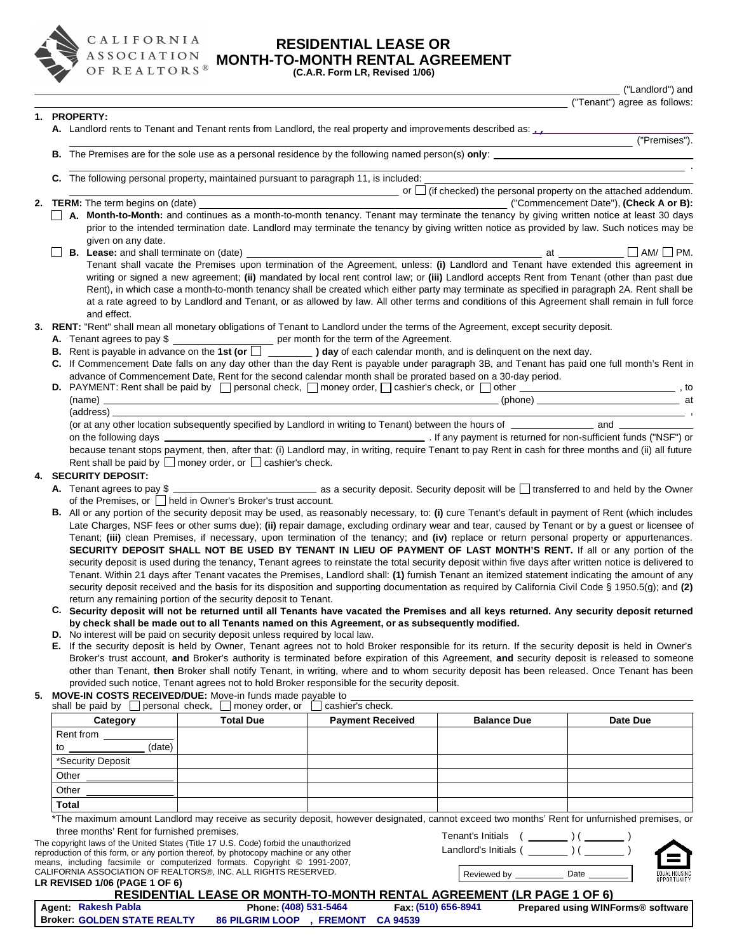

# **RESIDENTIAL LEASE OR MONTH-TO-MONTH RENTAL AGREEMENT**

**(C.A.R. Form LR, Revised 1/06)**

|    |    |                      |                                                                                       |                                                                                                                                                                                                                                                      |                    | ("Landlord") and<br>("Tenant") agree as follows: |
|----|----|----------------------|---------------------------------------------------------------------------------------|------------------------------------------------------------------------------------------------------------------------------------------------------------------------------------------------------------------------------------------------------|--------------------|--------------------------------------------------|
|    |    | 1. PROPERTY:         |                                                                                       |                                                                                                                                                                                                                                                      |                    |                                                  |
|    |    |                      |                                                                                       | A. Landlord rents to Tenant and Tenant rents from Landlord, the real property and improvements described as: $\overline{\phantom{a}}$                                                                                                                |                    |                                                  |
|    |    |                      |                                                                                       |                                                                                                                                                                                                                                                      |                    | ("Premises").                                    |
|    |    |                      |                                                                                       | <b>B.</b> The Premises are for the sole use as a personal residence by the following named person(s) only:                                                                                                                                           |                    |                                                  |
|    |    |                      |                                                                                       |                                                                                                                                                                                                                                                      |                    |                                                  |
|    |    |                      | C. The following personal property, maintained pursuant to paragraph 11, is included: |                                                                                                                                                                                                                                                      |                    |                                                  |
|    |    |                      |                                                                                       | or of (if checked) the personal property on the attached addendum.                                                                                                                                                                                   |                    |                                                  |
|    |    |                      |                                                                                       |                                                                                                                                                                                                                                                      |                    |                                                  |
|    |    |                      |                                                                                       | A. Month-to-Month: and continues as a month-to-month tenancy. Tenant may terminate the tenancy by giving written notice at least 30 days                                                                                                             |                    |                                                  |
|    |    |                      |                                                                                       | prior to the intended termination date. Landlord may terminate the tenancy by giving written notice as provided by law. Such notices may be                                                                                                          |                    |                                                  |
|    |    | given on any date.   |                                                                                       |                                                                                                                                                                                                                                                      |                    |                                                  |
|    |    |                      |                                                                                       | <b>B.</b> Lease: and shall terminate on (date) $\Box$ PM. Tenant shall vacate the Premises upon termination of the Agreement, unless: (i) Landlord and Tenant have extended this agreement in                                                        |                    |                                                  |
|    |    |                      |                                                                                       |                                                                                                                                                                                                                                                      |                    |                                                  |
|    |    |                      |                                                                                       | writing or signed a new agreement; (ii) mandated by local rent control law; or (iii) Landlord accepts Rent from Tenant (other than past due                                                                                                          |                    |                                                  |
|    |    |                      |                                                                                       | Rent), in which case a month-to-month tenancy shall be created which either party may terminate as specified in paragraph 2A. Rent shall be                                                                                                          |                    |                                                  |
|    |    |                      |                                                                                       | at a rate agreed to by Landlord and Tenant, or as allowed by law. All other terms and conditions of this Agreement shall remain in full force                                                                                                        |                    |                                                  |
|    |    | and effect.          |                                                                                       |                                                                                                                                                                                                                                                      |                    |                                                  |
|    |    |                      |                                                                                       | 3. RENT: "Rent" shall mean all monetary obligations of Tenant to Landlord under the terms of the Agreement, except security deposit.                                                                                                                 |                    |                                                  |
|    |    |                      |                                                                                       | A. Tenant agrees to pay \$ ________________________ per month for the term of the Agreement.                                                                                                                                                         |                    |                                                  |
|    |    |                      |                                                                                       | <b>B.</b> Rent is payable in advance on the 1st (or $\boxed{\phantom{2} \phantom{2} \phantom{2} }$ ) day of each calendar month, and is delinquent on the next day.                                                                                  |                    |                                                  |
|    |    |                      |                                                                                       | C. If Commencement Date falls on any day other than the day Rent is payable under paragraph 3B, and Tenant has paid one full month's Rent in                                                                                                         |                    |                                                  |
|    |    |                      |                                                                                       | advance of Commencement Date, Rent for the second calendar month shall be prorated based on a 30-day period.<br>D. PAYMENT: Rent shall be paid by □ personal check, □ money order, □ cashier's check, or □ other _______________________________, to |                    |                                                  |
|    |    |                      |                                                                                       |                                                                                                                                                                                                                                                      |                    |                                                  |
|    |    | (address) _____      |                                                                                       |                                                                                                                                                                                                                                                      |                    |                                                  |
|    |    |                      |                                                                                       |                                                                                                                                                                                                                                                      |                    |                                                  |
|    |    |                      |                                                                                       |                                                                                                                                                                                                                                                      |                    |                                                  |
|    |    |                      |                                                                                       | because tenant stops payment, then, after that: (i) Landlord may, in writing, require Tenant to pay Rent in cash for three months and (ii) all future                                                                                                |                    |                                                  |
|    |    |                      | Rent shall be paid by $\Box$ money order, or $\Box$ cashier's check.                  |                                                                                                                                                                                                                                                      |                    |                                                  |
|    |    | 4. SECURITY DEPOSIT: |                                                                                       |                                                                                                                                                                                                                                                      |                    |                                                  |
|    |    |                      |                                                                                       |                                                                                                                                                                                                                                                      |                    |                                                  |
|    |    |                      | of the Premises, or <b>No. 1</b> held in Owner's Broker's trust account.              |                                                                                                                                                                                                                                                      |                    |                                                  |
|    |    |                      |                                                                                       | B. All or any portion of the security deposit may be used, as reasonably necessary, to: (i) cure Tenant's default in payment of Rent (which includes                                                                                                 |                    |                                                  |
|    |    |                      |                                                                                       | Late Charges, NSF fees or other sums due); (ii) repair damage, excluding ordinary wear and tear, caused by Tenant or by a guest or licensee of                                                                                                       |                    |                                                  |
|    |    |                      |                                                                                       | Tenant; (iii) clean Premises, if necessary, upon termination of the tenancy; and (iv) replace or return personal property or appurtenances.                                                                                                          |                    |                                                  |
|    |    |                      |                                                                                       | SECURITY DEPOSIT SHALL NOT BE USED BY TENANT IN LIEU OF PAYMENT OF LAST MONTH'S RENT. If all or any portion of the                                                                                                                                   |                    |                                                  |
|    |    |                      |                                                                                       | security deposit is used during the tenancy, Tenant agrees to reinstate the total security deposit within five days after written notice is delivered to                                                                                             |                    |                                                  |
|    |    |                      |                                                                                       | Tenant. Within 21 days after Tenant vacates the Premises, Landlord shall: (1) furnish Tenant an itemized statement indicating the amount of any                                                                                                      |                    |                                                  |
|    |    |                      |                                                                                       | security deposit received and the basis for its disposition and supporting documentation as required by California Civil Code § 1950.5(g); and (2)                                                                                                   |                    |                                                  |
|    |    |                      | return any remaining portion of the security deposit to Tenant.                       |                                                                                                                                                                                                                                                      |                    |                                                  |
|    |    |                      |                                                                                       | C. Security deposit will not be returned until all Tenants have vacated the Premises and all keys returned. Any security deposit returned                                                                                                            |                    |                                                  |
|    |    |                      | D. No interest will be paid on security deposit unless required by local law.         | by check shall be made out to all Tenants named on this Agreement, or as subsequently modified.                                                                                                                                                      |                    |                                                  |
|    |    |                      |                                                                                       | E. If the security deposit is held by Owner, Tenant agrees not to hold Broker responsible for its return. If the security deposit is held in Owner's                                                                                                 |                    |                                                  |
|    |    |                      |                                                                                       | Broker's trust account, and Broker's authority is terminated before expiration of this Agreement, and security deposit is released to someone                                                                                                        |                    |                                                  |
|    |    |                      |                                                                                       | other than Tenant, then Broker shall notify Tenant, in writing, where and to whom security deposit has been released. Once Tenant has been                                                                                                           |                    |                                                  |
|    |    |                      |                                                                                       | provided such notice, Tenant agrees not to hold Broker responsible for the security deposit.                                                                                                                                                         |                    |                                                  |
| 5. |    |                      | <b>MOVE-IN COSTS RECEIVED/DUE:</b> Move-in funds made payable to                      |                                                                                                                                                                                                                                                      |                    |                                                  |
|    |    |                      | shall be paid by $\Box$ personal check, $\Box$ money order, or                        | cashier's check.                                                                                                                                                                                                                                     |                    |                                                  |
|    |    | Category             | <b>Total Due</b>                                                                      | <b>Payment Received</b>                                                                                                                                                                                                                              | <b>Balance Due</b> | Date Due                                         |
|    |    | Rent from _____      |                                                                                       |                                                                                                                                                                                                                                                      |                    |                                                  |
|    | to | (date)               |                                                                                       |                                                                                                                                                                                                                                                      |                    |                                                  |

| w<br>ualo)                                 |                                                                                                                                                                                                                                                                                                                                                                                                                                                                               |                                                                          |      |                      |
|--------------------------------------------|-------------------------------------------------------------------------------------------------------------------------------------------------------------------------------------------------------------------------------------------------------------------------------------------------------------------------------------------------------------------------------------------------------------------------------------------------------------------------------|--------------------------------------------------------------------------|------|----------------------|
| *Security Deposit                          |                                                                                                                                                                                                                                                                                                                                                                                                                                                                               |                                                                          |      |                      |
| Other                                      |                                                                                                                                                                                                                                                                                                                                                                                                                                                                               |                                                                          |      |                      |
| Other                                      |                                                                                                                                                                                                                                                                                                                                                                                                                                                                               |                                                                          |      |                      |
| Total                                      |                                                                                                                                                                                                                                                                                                                                                                                                                                                                               |                                                                          |      |                      |
| three months' Rent for furnished premises. | *The maximum amount Landlord may receive as security deposit, however designated, cannot exceed two months' Rent for unfurnished premises, or<br>The copyright laws of the United States (Title 17 U.S. Code) forbid the unauthorized<br>reproduction of this form, or any portion thereof, by photocopy machine or any other<br>means, including facsimile or computerized formats. Copyright © 1991-2007,<br>CALIFORNIA ASSOCIATION OF REALTORS®, INC. ALL RIGHTS RESERVED. | Tenant's Initials<br>Landlord's Initials (     ) (<br>Reviewed by ______ | Date | <b>EQUAL HOUSING</b> |
| <b>LR REVISED 1/06 (PAGE 1 OF 6)</b>       |                                                                                                                                                                                                                                                                                                                                                                                                                                                                               |                                                                          |      | OPPORTUNITY          |
|                                            | <b>RESIDENTIAL LEASE OR MONTH-TO-MONTH RENTAL AGREEMENT (LR PAGE 1 OF 6)</b>                                                                                                                                                                                                                                                                                                                                                                                                  |                                                                          |      |                      |

|                                    | <u>INLOIDENTIAE EEAOE ON MONTIFIONIONIII INLINIAE AONEEMENT IEN FAOE T OF VI</u> |                     |                                          |
|------------------------------------|----------------------------------------------------------------------------------|---------------------|------------------------------------------|
| Agent: Rakesh Pabla                | Phone: (408) 531-5464                                                            | Fax: (510) 656-8941 | <b>Prepared using WINForms® software</b> |
| <b>Broker: GOLDEN STATE REALTY</b> | <b>86 PILGRIM LOOP</b><br>FREMONT CA 94539                                       |                     |                                          |
|                                    |                                                                                  |                     |                                          |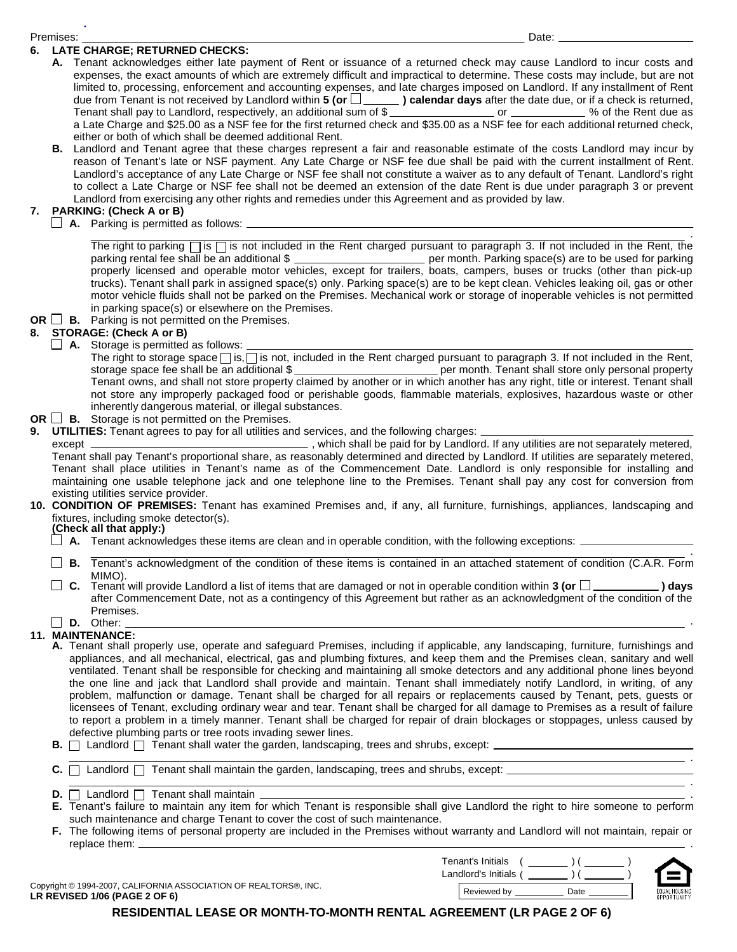### Premises: Date:

*.*

#### **6. LATE CHARGE; RETURNED CHECKS:**

- **A.** Tenant acknowledges either late payment of Rent or issuance of a returned check may cause Landlord to incur costs and expenses, the exact amounts of which are extremely difficult and impractical to determine. These costs may include, but are not limited to, processing, enforcement and accounting expenses, and late charges imposed on Landlord. If any installment of Rent due from Tenant is not received by Landlord within **5 (or**  $\Box$  ) calendar days after the date due, or if a check is returned,<br>Tenant shall pay to Landlord, respectively, an additional sum of \$<br>and the same of the Rent due Tenant shall pay to Landlord, respectively, an additional sum of \$\_ a Late Charge and \$25.00 as a NSF fee for the first returned check and \$35.00 as a NSF fee for each additional returned check, either or both of which shall be deemed additional Rent.
- **B.** Landlord and Tenant agree that these charges represent a fair and reasonable estimate of the costs Landlord may incur by reason of Tenant's late or NSF payment. Any Late Charge or NSF fee due shall be paid with the current installment of Rent. Landlord's acceptance of any Late Charge or NSF fee shall not constitute a waiver as to any default of Tenant. Landlord's right to collect a Late Charge or NSF fee shall not be deemed an extension of the date Rent is due under paragraph 3 or prevent Landlord from exercising any other rights and remedies under this Agreement and as provided by law.

# **7. PARKING: (Check A or B)**

 $\Box$  **A.** Parking is permitted as follows:  $\Box$ 

The right to parking  $\bigcap$  is  $\bigcap$  is not included in the Rent charged pursuant to paragraph 3. If not included in the Rent, the parking rental fee shall be an additional \$ properly licensed and operable motor vehicles, except for trailers, boats, campers, buses or trucks (other than pick-up trucks). Tenant shall park in assigned space(s) only. Parking space(s) are to be kept clean. Vehicles leaking oil, gas or other motor vehicle fluids shall not be parked on the Premises. Mechanical work or storage of inoperable vehicles is not permitted in parking space(s) or elsewhere on the Premises.

**OR**  $\Box$  **B.** Parking is not permitted on the Premises.

# **8. STORAGE: (Check A or B)**

- □ **A.** Storage is permitted as follows:
	- The right to storage space  $\Box$  is,  $\Box$  is not, included in the Rent charged pursuant to paragraph 3. If not included in the Rent, storage space fee shall be an additional \$ Tenant owns, and shall not store property claimed by another or in which another has any right, title or interest. Tenant shall not store any improperly packaged food or perishable goods, flammable materials, explosives, hazardous waste or other inherently dangerous material, or illegal substances.
- **OR B.** Storage is not permitted on the Premises.
- **9. UTILITIES:** Tenant agrees to pay for all utilities and services, and the following charges:
	- except , which shall be paid for by Landlord. If any utilities are not separately metered, Tenant shall pay Tenant's proportional share, as reasonably determined and directed by Landlord. If utilities are separately metered, Tenant shall place utilities in Tenant's name as of the Commencement Date. Landlord is only responsible for installing and maintaining one usable telephone jack and one telephone line to the Premises. Tenant shall pay any cost for conversion from existing utilities service provider.
- **10. CONDITION OF PREMISES:** Tenant has examined Premises and, if any, all furniture, furnishings, appliances, landscaping and fixtures, including smoke detector(s).
	- **(Check all that apply:)**
	- **A.** Tenant acknowledges these items are clean and in operable condition, with the following exceptions:
	- . **B.** Tenant's acknowledgment of the condition of these items is contained in an attached statement of condition (C.A.R. Form MIMO).
	- **C.** Tenant will provide Landlord a list of items that are damaged or not in operable condition within **3 (or ) days** after Commencement Date, not as a contingency of this Agreement but rather as an acknowledgment of the condition of the **D.** Other:  $\Box$  **D.** Other: **D.** Other: .
	-

## **11. MAINTENANCE:**

- **A.** Tenant shall properly use, operate and safeguard Premises, including if applicable, any landscaping, furniture, furnishings and appliances, and all mechanical, electrical, gas and plumbing fixtures, and keep them and the Premises clean, sanitary and well ventilated. Tenant shall be responsible for checking and maintaining all smoke detectors and any additional phone lines beyond the one line and jack that Landlord shall provide and maintain. Tenant shall immediately notify Landlord, in writing, of any problem, malfunction or damage. Tenant shall be charged for all repairs or replacements caused by Tenant, pets, guests or licensees of Tenant, excluding ordinary wear and tear. Tenant shall be charged for all damage to Premises as a result of failure to report a problem in a timely manner. Tenant shall be charged for repair of drain blockages or stoppages, unless caused by defective plumbing parts or tree roots invading sewer lines.
- **B.**  $\Box$  Landlord  $\Box$  Tenant shall water the garden, landscaping, trees and shrubs, except:
- **C.**  $\Box$  Landlord  $\Box$  Tenant shall maintain the garden, landscaping, trees and shrubs, except:  $\Box$
- $D.$   $\square$  Landlord  $\square$  Tenant shall maintain
- **E.** Tenant's failure to maintain any item for which Tenant is responsible shall give Landlord the right to hire someone to perform such maintenance and charge Tenant to cover the cost of such maintenance. .
- **F.** The following items of personal property are included in the Premises without warranty and Landlord will not maintain, repair or replace them:

Copyright © 1994-2007, CALIFORNIA ASSOCIATION OF REALTORS®, INC. Copyright © 1994-2007, CALIFORNIA ASSOCIATION OF REALTORS®, INC.<br>LR REVISED 1/06 (PAGE 2 OF 6)

**RESIDENTIAL LEASE OR MONTH-TO-MONTH RENTAL AGREEMENT (LR PAGE 2 OF 6)**

Tenant's Initials ( ) (

Landlord's Initials  $($   $)$   $($ 



.

.

.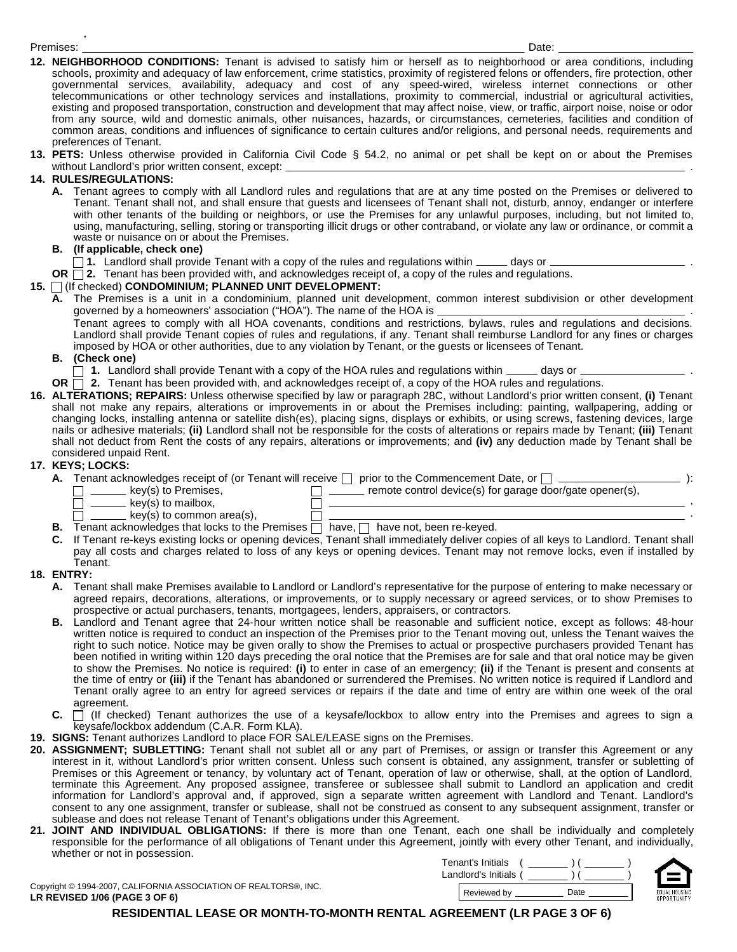Premises: Date:

*.*

- **12. NEIGHBORHOOD CONDITIONS:** Tenant is advised to satisfy him or herself as to neighborhood or area conditions, including schools, proximity and adequacy of law enforcement, crime statistics, proximity of registered felons or offenders, fire protection, other governmental services, availability, adequacy and cost of any speed-wired, wireless internet connections or other telecommunications or other technology services and installations, proximity to commercial, industrial or agricultural activities, existing and proposed transportation, construction and development that may affect noise, view, or traffic, airport noise, noise or odor from any source, wild and domestic animals, other nuisances, hazards, or circumstances, cemeteries, facilities and condition of common areas, conditions and influences of significance to certain cultures and/or religions, and personal needs, requirements and preferences of Tenant.
- **13. PETS:** Unless otherwise provided in California Civil Code § 54.2, no animal or pet shall be kept on or about the Premises without Landlord's prior written consent, except: \_

# **14. RULES/REGULATIONS:**

**A.** Tenant agrees to comply with all Landlord rules and regulations that are at any time posted on the Premises or delivered to Tenant. Tenant shall not, and shall ensure that guests and licensees of Tenant shall not, disturb, annoy, endanger or interfere with other tenants of the building or neighbors, or use the Premises for any unlawful purposes, including, but not limited to, using, manufacturing, selling, storing or transporting illicit drugs or other contraband, or violate any law or ordinance, or commit a waste or nuisance on or about the Premises.

# **B. (If applicable, check one)**

□ 1. Landlord shall provide Tenant with a copy of the rules and regulations within <u>equeled</u> as and regulations within  $\Box$ 

**OR**  $\Box$  2. Tenant has been provided with, and acknowledges receipt of, a copy of the rules and regulations.

# **15.** (If checked) **CONDOMINIUM; PLANNED UNIT DEVELOPMENT:**

**A.** The Premises is a unit in a condominium, planned unit development, common interest subdivision or other development governed by a homeowners' association ("HOA"). The name of the HOA is \_

Tenant agrees to comply with all HOA covenants, conditions and restrictions, bylaws, rules and regulations and decisions. Landlord shall provide Tenant copies of rules and regulations, if any. Tenant shall reimburse Landlord for any fines or charges imposed by HOA or other authorities, due to any violation by Tenant, or the guests or licensees of Tenant.

# **B. (Check one)**

 $\Box$  1. Landlord shall provide Tenant with a copy of the HOA rules and regulations within  $\_\_\_\_\_$  days or  $\_\_\_\$ 

- **OR 2.** Tenant has been provided with, and acknowledges receipt of, a copy of the HOA rules and regulations.
- **16. ALTERATIONS; REPAIRS:** Unless otherwise specified by law or paragraph 28C, without Landlord's prior written consent, **(i)** Tenant shall not make any repairs, alterations or improvements in or about the Premises including: painting, wallpapering, adding or changing locks, installing antenna or satellite dish(es), placing signs, displays or exhibits, or using screws, fastening devices, large nails or adhesive materials; **(ii)** Landlord shall not be responsible for the costs of alterations or repairs made by Tenant; **(iii)** Tenant shall not deduct from Rent the costs of any repairs, alterations or improvements; and **(iv)** any deduction made by Tenant shall be considered unpaid Rent.

# **17. KEYS; LOCKS:**

**A.** Tenant acknowledges receipt of (or Tenant will receive  $\Box$  prior to the Commencement Date, or  $\Box$   $\Box$ 

- $\Box$  key(s) to Premises,  $\Box$  remote control device(s) for garage door/gate opener(s),  $\equiv$  key(s) to mailbox,  $k = \text{key}(s)$  to common area(s),  $\perp$
- **B.** Tenant acknowledges that locks to the Premises  $\Box$  have,  $\Box$  have not, been re-keyed.
- **C.** If Tenant re-keys existing locks or opening devices, Tenant shall immediately deliver copies of all keys to Landlord. Tenant shall pay all costs and charges related to loss of any keys or opening devices. Tenant may not remove locks, even if installed by Tenant.

## **18. ENTRY:**

- **A.** Tenant shall make Premises available to Landlord or Landlord's representative for the purpose of entering to make necessary or agreed repairs, decorations, alterations, or improvements, or to supply necessary or agreed services, or to show Premises to prospective or actual purchasers, tenants, mortgagees, lenders, appraisers, or contractors.
- **B.** Landlord and Tenant agree that 24-hour written notice shall be reasonable and sufficient notice, except as follows: 48-hour written notice is required to conduct an inspection of the Premises prior to the Tenant moving out, unless the Tenant waives the right to such notice. Notice may be given orally to show the Premises to actual or prospective purchasers provided Tenant has been notified in writing within 120 days preceding the oral notice that the Premises are for sale and that oral notice may be given to show the Premises. No notice is required: **(i)** to enter in case of an emergency; **(ii)** if the Tenant is present and consents at the time of entry or **(iii)** if the Tenant has abandoned or surrendered the Premises. No written notice is required if Landlord and Tenant orally agree to an entry for agreed services or repairs if the date and time of entry are within one week of the oral agreement.
- **C.**  $\Box$  (If checked) Tenant authorizes the use of a keysafe/lockbox to allow entry into the Premises and agrees to sign a keysafe/lockbox addendum (C.A.R. Form KLA).
- **19. SIGNS:** Tenant authorizes Landlord to place FOR SALE/LEASE signs on the Premises.
- **20. ASSIGNMENT; SUBLETTING:** Tenant shall not sublet all or any part of Premises, or assign or transfer this Agreement or any interest in it, without Landlord's prior written consent. Unless such consent is obtained, any assignment, transfer or subletting of Premises or this Agreement or tenancy, by voluntary act of Tenant, operation of law or otherwise, shall, at the option of Landlord, terminate this Agreement. Any proposed assignee, transferee or sublessee shall submit to Landlord an application and credit information for Landlord's approval and, if approved, sign a separate written agreement with Landlord and Tenant. Landlord's consent to any one assignment, transfer or sublease, shall not be construed as consent to any subsequent assignment, transfer or sublease and does not release Tenant of Tenant's obligations under this Agreement.
- **21. JOINT AND INDIVIDUAL OBLIGATIONS:** If there is more than one Tenant, each one shall be individually and completely responsible for the performance of all obligations of Tenant under this Agreement, jointly with every other Tenant, and individually, whether or not in possession.

Tenant's Initials Landlord's Initials (



Copyright © 1994-2007, CALIFORNIA ASSOCIATION OF REALTORS®, INC. Exploring the USS-4-2007, CALIFORNIA ASSOCIATION OF REALTORS®, INC.<br>LR REVISED 1/06 (PAGE 3 OF 6)

**RESIDENTIAL LEASE OR MONTH-TO-MONTH RENTAL AGREEMENT (LR PAGE 3 OF 6)**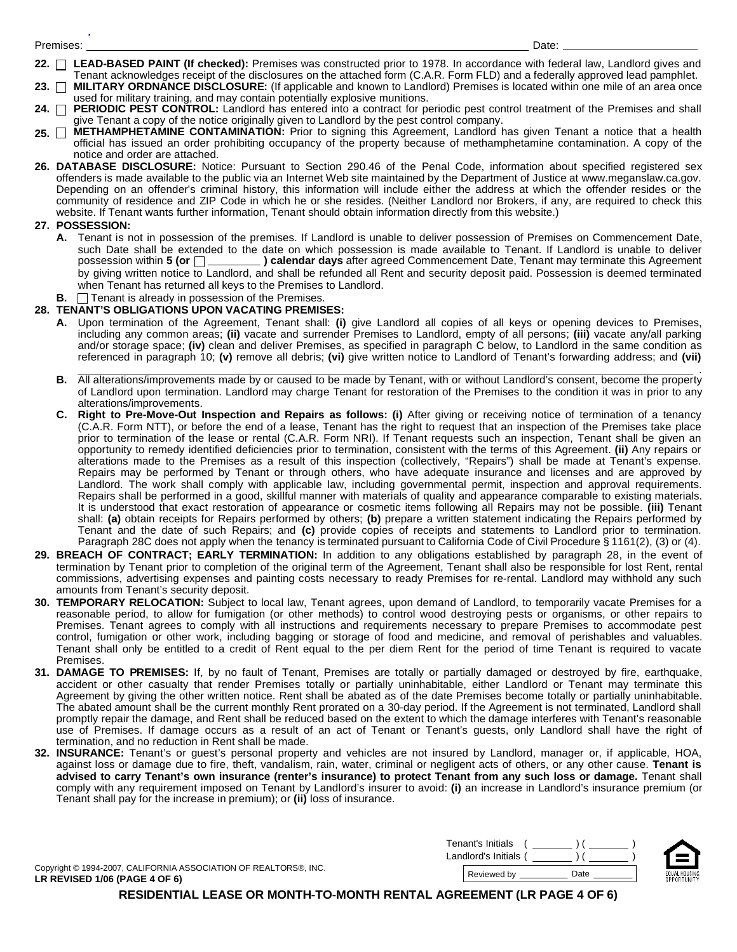Premises: Date:

*.*

- **22.** □ LEAD-BASED PAINT (If checked): Premises was constructed prior to 1978. In accordance with federal law, Landlord gives and Tenant acknowledges receipt of the disclosures on the attached form (C.A.R. Form FLD) and a federally approved lead pamphlet.
- **23. □ MILITARY ORDNANCE DISCLOSURE:** (If applicable and known to Landlord) Premises is located within one mile of an area once used for military training, and may contain potentially explosive munitions.
- **24. PERIODIC PEST CONTROL:** Landlord has entered into a contract for periodic pest control treatment of the Premises and shall give Tenant a copy of the notice originally given to Landlord by the pest control company.
- **25. METHAMPHETAMINE CONTAMINATION:** Prior to signing this Agreement, Landlord has given Tenant a notice that a health official has issued an order prohibiting occupancy of the property because of methamphetamine contamination. A copy of the notice and order are attached.
- **DATABASE DISCLOSURE:** Notice: Pursuant to Section 290.46 of the Penal Code, information about specified registered sex **26.** offenders is made available to the public via an Internet Web site maintained by the Department of Justice at www.meganslaw.ca.gov. Depending on an offender's criminal history, this information will include either the address at which the offender resides or the community of residence and ZIP Code in which he or she resides. (Neither Landlord nor Brokers, if any, are required to check this website. If Tenant wants further information, Tenant should obtain information directly from this website.)

### **27. POSSESSION:**

Tenant is not in possession of the premises. If Landlord is unable to deliver possession of Premises on Commencement Date, **A.** such Date shall be extended to the date on which possession is made available to Tenant. If Landlord is unable to deliver **) calendar days** after agreed Commencement Date, Tenant may terminate this Agreement possession within **5 (or** by giving written notice to Landlord, and shall be refunded all Rent and security deposit paid. Possession is deemed terminated when Tenant has returned all keys to the Premises to Landlord.

#### $\Box$  Tenant is already in possession of the Premises. **B.**

#### **28. TENANT'S OBLIGATIONS UPON VACATING PREMISES:**

- **A.** Upon termination of the Agreement, Tenant shall: **(i)** give Landlord all copies of all keys or opening devices to Premises, including any common areas; **(ii)** vacate and surrender Premises to Landlord, empty of all persons; **(iii)** vacate any/all parking and/or storage space; **(iv)** clean and deliver Premises, as specified in paragraph C below, to Landlord in the same condition as referenced in paragraph 10; **(v)** remove all debris; **(vi)** give written notice to Landlord of Tenant's forwarding address; and **(vii)**
- . **B.** All alterations/improvements made by or caused to be made by Tenant, with or without Landlord's consent, become the property of Landlord upon termination. Landlord may charge Tenant for restoration of the Premises to the condition it was in prior to any alterations/improvements.
- **C. Right to Pre-Move-Out Inspection and Repairs as follows: (i)** After giving or receiving notice of termination of a tenancy (C.A.R. Form NTT), or before the end of a lease, Tenant has the right to request that an inspection of the Premises take place prior to termination of the lease or rental (C.A.R. Form NRI). If Tenant requests such an inspection, Tenant shall be given an opportunity to remedy identified deficiencies prior to termination, consistent with the terms of this Agreement. **(ii)** Any repairs or alterations made to the Premises as a result of this inspection (collectively, "Repairs") shall be made at Tenant's expense. Repairs may be performed by Tenant or through others, who have adequate insurance and licenses and are approved by Landlord. The work shall comply with applicable law, including governmental permit, inspection and approval requirements. Repairs shall be performed in a good, skillful manner with materials of quality and appearance comparable to existing materials. It is understood that exact restoration of appearance or cosmetic items following all Repairs may not be possible. **(iii)** Tenant shall: **(a)** obtain receipts for Repairs performed by others; **(b)** prepare a written statement indicating the Repairs performed by Tenant and the date of such Repairs; and **(c)** provide copies of receipts and statements to Landlord prior to termination. Paragraph 28C does not apply when the tenancy is terminated pursuant to California Code of Civil Procedure § 1161(2), (3) or (4).
- **29. BREACH OF CONTRACT; EARLY TERMINATION:** In addition to any obligations established by paragraph 28, in the event of termination by Tenant prior to completion of the original term of the Agreement, Tenant shall also be responsible for lost Rent, rental commissions, advertising expenses and painting costs necessary to ready Premises for re-rental. Landlord may withhold any such amounts from Tenant's security deposit.
- **30. TEMPORARY RELOCATION:** Subject to local law, Tenant agrees, upon demand of Landlord, to temporarily vacate Premises for a reasonable period, to allow for fumigation (or other methods) to control wood destroying pests or organisms, or other repairs to Premises. Tenant agrees to comply with all instructions and requirements necessary to prepare Premises to accommodate pest control, fumigation or other work, including bagging or storage of food and medicine, and removal of perishables and valuables. Tenant shall only be entitled to a credit of Rent equal to the per diem Rent for the period of time Tenant is required to vacate Premises.
- **31. DAMAGE TO PREMISES:** If, by no fault of Tenant, Premises are totally or partially damaged or destroyed by fire, earthquake, accident or other casualty that render Premises totally or partially uninhabitable, either Landlord or Tenant may terminate this Agreement by giving the other written notice. Rent shall be abated as of the date Premises become totally or partially uninhabitable. The abated amount shall be the current monthly Rent prorated on a 30-day period. If the Agreement is not terminated, Landlord shall promptly repair the damage, and Rent shall be reduced based on the extent to which the damage interferes with Tenant's reasonable use of Premises. If damage occurs as a result of an act of Tenant or Tenant's guests, only Landlord shall have the right of termination, and no reduction in Rent shall be made.
- **32. INSURANCE:** Tenant's or guest's personal property and vehicles are not insured by Landlord, manager or, if applicable, HOA, against loss or damage due to fire, theft, vandalism, rain, water, criminal or negligent acts of others, or any other cause. **Tenant is advised to carry Tenant's own insurance (renter's insurance) to protect Tenant from any such loss or damage.** Tenant shall comply with any requirement imposed on Tenant by Landlord's insurer to avoid: **(i)** an increase in Landlord's insurance premium (or Tenant shall pay for the increase in premium); or **(ii)** loss of insurance.

Copyright © 1994-2007, CALIFORNIA ASSOCIATION OF REALTORS®, INC. **LR REVISED 1/06 (PAGE 4 OF 6)** 

| Tenant's Initials<br>Landlord's Initials ( |      |  |
|--------------------------------------------|------|--|
| Reviewed by                                | Date |  |



**RESIDENTIAL LEASE OR MONTH-TO-MONTH RENTAL AGREEMENT (LR PAGE 4 OF 6)**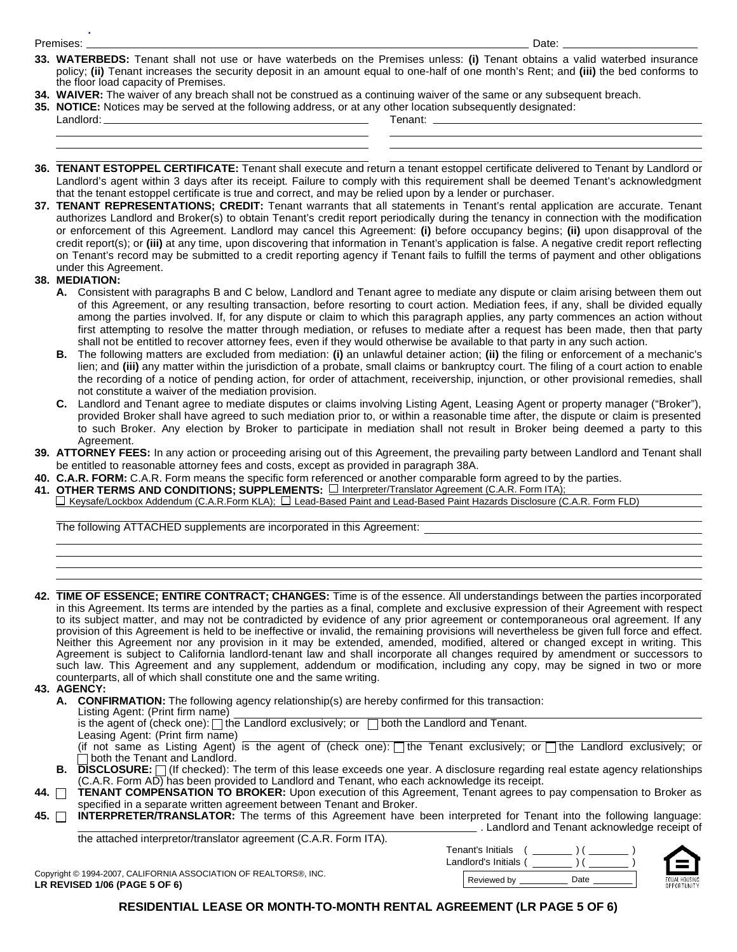| Premises: | alt. |
|-----------|------|
|-----------|------|

*.*

- **33. WATERBEDS:** Tenant shall not use or have waterbeds on the Premises unless: **(i)** Tenant obtains a valid waterbed insurance policy; **(ii)** Tenant increases the security deposit in an amount equal to one-half of one month's Rent; and **(iii)** the bed conforms to the floor load capacity of Premises.
- **34. WAIVER:** The waiver of any breach shall not be construed as a continuing waiver of the same or any subsequent breach.

|  |  |  | 35. NOTICE: Notices may be served at the following address, or at any other location subsequently designated: |  |  |  |
|--|--|--|---------------------------------------------------------------------------------------------------------------|--|--|--|
|--|--|--|---------------------------------------------------------------------------------------------------------------|--|--|--|

| __<br>∟andlord <sup>.</sup> |  | .<br>ີ | .<br>. |
|-----------------------------|--|--------|--------|
|                             |  |        |        |

- **36. TENANT ESTOPPEL CERTIFICATE:** Tenant shall execute and return a tenant estoppel certificate delivered to Tenant by Landlord or Landlord's agent within 3 days after its receipt. Failure to comply with this requirement shall be deemed Tenant's acknowledgment that the tenant estoppel certificate is true and correct, and may be relied upon by a lender or purchaser.
- **37. TENANT REPRESENTATIONS; CREDIT:** Tenant warrants that all statements in Tenant's rental application are accurate. Tenant authorizes Landlord and Broker(s) to obtain Tenant's credit report periodically during the tenancy in connection with the modification or enforcement of this Agreement. Landlord may cancel this Agreement: **(i)** before occupancy begins; **(ii)** upon disapproval of the credit report(s); or **(iii)** at any time, upon discovering that information in Tenant's application is false. A negative credit report reflecting on Tenant's record may be submitted to a credit reporting agency if Tenant fails to fulfill the terms of payment and other obligations under this Agreement.

#### **38. MEDIATION:**

- **A.** Consistent with paragraphs B and C below, Landlord and Tenant agree to mediate any dispute or claim arising between them out of this Agreement, or any resulting transaction, before resorting to court action. Mediation fees, if any, shall be divided equally among the parties involved. If, for any dispute or claim to which this paragraph applies, any party commences an action without first attempting to resolve the matter through mediation, or refuses to mediate after a request has been made, then that party shall not be entitled to recover attorney fees, even if they would otherwise be available to that party in any such action.
- **B.** The following matters are excluded from mediation: **(i)** an unlawful detainer action; **(ii)** the filing or enforcement of a mechanic's lien; and **(iii)** any matter within the jurisdiction of a probate, small claims or bankruptcy court. The filing of a court action to enable the recording of a notice of pending action, for order of attachment, receivership, injunction, or other provisional remedies, shall not constitute a waiver of the mediation provision.
- **C.** Landlord and Tenant agree to mediate disputes or claims involving Listing Agent, Leasing Agent or property manager ("Broker"), provided Broker shall have agreed to such mediation prior to, or within a reasonable time after, the dispute or claim is presented to such Broker. Any election by Broker to participate in mediation shall not result in Broker being deemed a party to this Agreement.
- **39. ATTORNEY FEES:** In any action or proceeding arising out of this Agreement, the prevailing party between Landlord and Tenant shall be entitled to reasonable attorney fees and costs, except as provided in paragraph 38A.
- **40. C.A.R. FORM:** C.A.R. Form means the specific form referenced or another comparable form agreed to by the parties.
- 41. OTHER TERMS AND CONDITIONS; SUPPLEMENTS:  $\Box$  Interpreter/Translator Agreement (C.A.R. Form ITA);
- Keysafe/Lockbox Addendum (C.A.R.Form KLA); □ Lead-Based Paint and Lead-Based Paint Hazards Disclosure (C.A.R. Form FLD)

The following ATTACHED supplements are incorporated in this Agreement:

**42. TIME OF ESSENCE; ENTIRE CONTRACT; CHANGES:** Time is of the essence. All understandings between the parties incorporated in this Agreement. Its terms are intended by the parties as a final, complete and exclusive expression of their Agreement with respect to its subject matter, and may not be contradicted by evidence of any prior agreement or contemporaneous oral agreement. If any provision of this Agreement is held to be ineffective or invalid, the remaining provisions will nevertheless be given full force and effect. Neither this Agreement nor any provision in it may be extended, amended, modified, altered or changed except in writing. This Agreement is subject to California landlord-tenant law and shall incorporate all changes required by amendment or successors to such law. This Agreement and any supplement, addendum or modification, including any copy, may be signed in two or more counterparts, all of which shall constitute one and the same writing.

- **43. AGENCY:**
	- **A. CONFIRMATION:** The following agency relationship(s) are hereby confirmed for this transaction:

Listing Agent: (Print firm name)

is the agent of (check one):  $\Box$  the Landlord exclusively; or  $\Box$  both the Landlord and Tenant.

Leasing Agent: (Print firm name)

|  |  |                                      |  |  |  | (if not same as Listing Agent) is the agent of (check one):   the Tenant exclusively; or   the Landlord exclusively; or |  |  |  |  |
|--|--|--------------------------------------|--|--|--|-------------------------------------------------------------------------------------------------------------------------|--|--|--|--|
|  |  | $\Box$ both the Tenant and Landlord. |  |  |  |                                                                                                                         |  |  |  |  |
|  |  |                                      |  |  |  |                                                                                                                         |  |  |  |  |

- **B.** DISCLOSURE: □ (If checked): The term of this lease exceeds one year. A disclosure regarding real estate agency relationships (C.A.R. Form AD) has been provided to Landlord and Tenant, who each acknowledge its receipt.
- **44.** □ TENANT COMPENSATION TO BROKER: Upon execution of this Agreement, Tenant agrees to pay compensation to Broker as specified in a separate written agreement between Tenant and Broker.
- **45. INTERPRETER/TRANSLATOR:** The terms of this Agreement have been interpreted for Tenant into the following language: . Landlord and Tenant acknowledge receipt of

the attached interpretor/translator agreement (C.A.R. Form ITA).

Tenant's Initials ( Landlord's Initials ( \_\_\_\_\_\_\_



Copyright © 1994-2007, CALIFORNIA ASSOCIATION OF REALTORS®, INC. Copyright © 1994-2007, CALIFORNIA ASSOCIATION OF REALTORS®, INC.<br>LR REVISED 1/06 (PAGE 5 OF 6)

**RESIDENTIAL LEASE OR MONTH-TO-MONTH RENTAL AGREEMENT (LR PAGE 5 OF 6)**